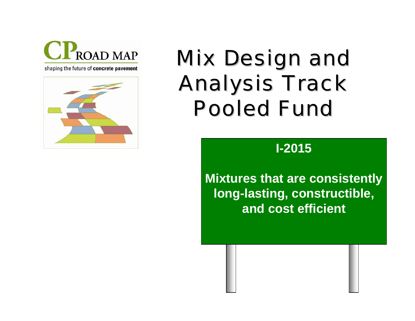

shaping the future of concrete pavement



# **Mix Design and Analysis Track Pooled Fund**

## **I-2015**

**Mixtures that are consistently long-lasting, constructible, and cost efficient**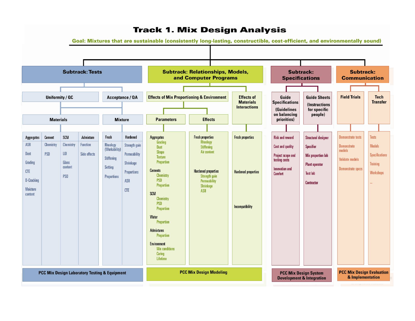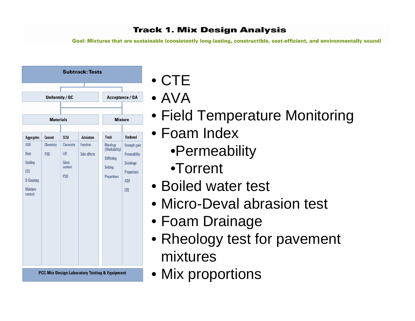Goal: Mixtures that are sustainable (consistently long-lasting, constructible, cost-efficient, and environmentally sound)



**PCC Mix Design Laboratory Testing & Equipment** 

- CTE
- AVA
- Field Temperature Monitoring
- Foam Index
	- •Permeability
	- •Torrent
- Boiled water test
- Micro-Deval abrasion test
- Foam Drainage
- Rheology test for pavement mixtures
- Mix proportions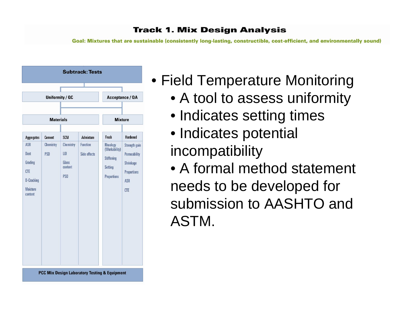

- Field Temperature Monitoring
	- A tool to assess uniformity
	- Indicates setting times
	- Indicates potential incompatibility
	- A formal method statement needs to be developed for submission to AASHTO and ASTM.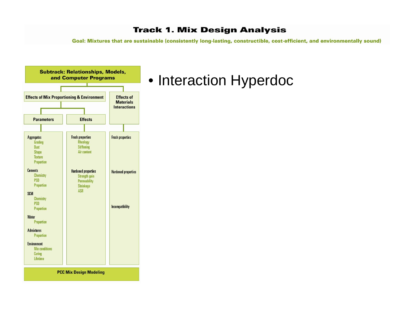Goal: Mixtures that are sustainable (consistently long-lasting, constructible, cost-efficient, and environmentally sound)



## • Interaction Hyperdoc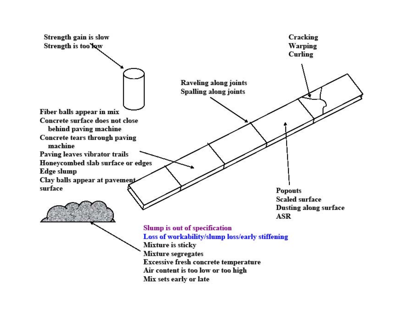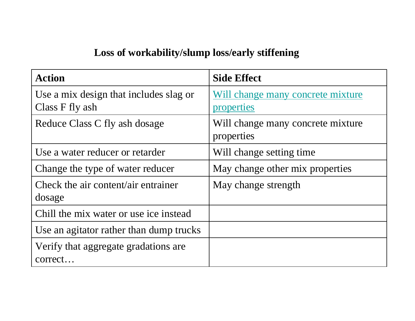## **Loss of workability/slump loss/early stiffening**

| <b>Action</b>                                             | <b>Side Effect</b>                              |
|-----------------------------------------------------------|-------------------------------------------------|
| Use a mix design that includes slag or<br>Class F fly ash | Will change many concrete mixture<br>properties |
| Reduce Class C fly ash dosage                             | Will change many concrete mixture<br>properties |
| Use a water reducer or retarder                           | Will change setting time                        |
| Change the type of water reducer                          | May change other mix properties                 |
| Check the air content/air entrainer<br>dosage             | May change strength                             |
| Chill the mix water or use ice instead                    |                                                 |
| Use an agitator rather than dump trucks                   |                                                 |
| Verify that aggregate gradations are<br>correct           |                                                 |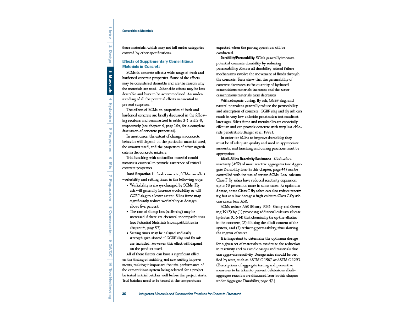#### **Cementitious Materials**

lntro  $\mathbf{N}$ Design  $\omega$ **Materials**  $\Delta$ **Hydration**  $\sigma$ Properties  $\circ$ Ńk  $\mathbf{M}$ Proparation  $\infty$ Construction 9 QA/QC  $\vec{\circ}$ Troubleshooting

these materials, which may not fall under categories covered by other specifications.

#### **Effects of Supplementary Cementitious Materials in Concrete**

SCMs in concrete affect a wide range of fresh and hardened concrete properties. Some of the effects may be considered desirable and are the reason why the materials are used. Other side effects may be less desirable and have to be accommodated. An understanding of all the potential effects is essential to prevent surprises

The effects of SCMs on properties of fresh and hardened concrete are briefly discussed in the following sections and summarized in tables 3-7 and 3-8, respectively (see chapter 5, page 105, for a complete discussion of concrete properties).

In most cases, the extent of change in concrete behavior will depend on the particular material used, the amount used, and the properties of other ingredients in the concrete mixture.

Trial batching with unfamiliar material combinations is essential to provide assurance of critical concrete properties.

Fresh Properties. In fresh concrete, SCMs can affect workability and setting times in the following ways:

- Workability is always changed by SCMs. Fly ash will generally increase workability, as will GGBF slag to a lesser extent. Silica fume may significantly reduce workability at dosages above five percent.
- The rate of slump loss (stiffening) may be increased if there are chemical incompatibilities (see Potential Materials Incompatibilities in chapter 4, page 97).
- Setting times may be delayed and early strength gain slowed if GGBF slag and fly ash are included. However, this effect will depend on the product used.

All of these factors can have a significant effect on the timing of finishing and saw cutting in pavements, making it important that the performance of the cementitious system being selected for a project be tested in trial batches well before the project starts. Trial batches need to be tested at the temperatures

expected when the paving operation will be conducted.

Durability/Permeability. SCMs generally improve potential concrete durability by reducing permeability. Almost all durability-related failure mechanisms involve the movement of fluids through the concrete. Tests show that the permeability of concrete decreases as the quantity of hydrated cementitious materials increases and the watercementitious materials ratio decreases.

With adequate curing, fly ash, GGBF slag, and natural pozzolans generally reduce the permeability and absorption of concrete. GGBF slag and fly ash can result in very low chloride penetration test results at later ages. Silica fume and metakaolin are especially effective and can provide concrete with very low chloride penetration (Barger et al. 1997).

In order for SCMs to improve durability, they must be of adequate quality and used in appropriate amounts, and finishing and curing practices must be appropriate.

Alkali-Silica Reactivity Resistance. Alkali-silica reactivity (ASR) of most reactive aggregates (see Aggregate Durability later in this chapter, page 47) can be controlled with the use of certain SCMs. Low-calcium Class F fly ashes have reduced reactivity expansion up to 70 percent or more in some cases. At optimum dosage, some Class C fly ashes can also reduce reactivity, but at a low dosage a high-calcium Class C fly ash can exacerbate ASR.

SCMs reduce ASR (Bhatty 1985, Bhatty and Greening 1978) by (1) providing additional calcium silicate hydrates (C-S-H) that chemically tie up the alkalies in the concrete, (2) diluting the alkali content of the system, and (3) reducing permeability, thus slowing the ingress of water.

It is important to determine the optimum dosage for a given set of materials to maximize the reduction in reactivity and to avoid dosages and materials that can aggravate reactivity. Dosage rates should be verified by tests, such as ASTM C 1567 or ASTM C 1293. (Descriptions of aggregate testing and preventive measures to be taken to prevent deleterious alkaliaggregate reaction are discussed later in this chapter under Aggregate Durability, page 47.)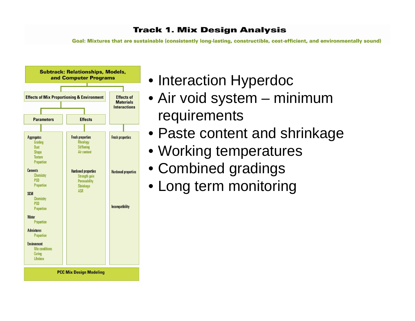

- Interaction Hyperdoc
- Air void system minimum requirements
- Paste content and shrinkage
- Working temperatures
- Combined gradings
- Long term monitoring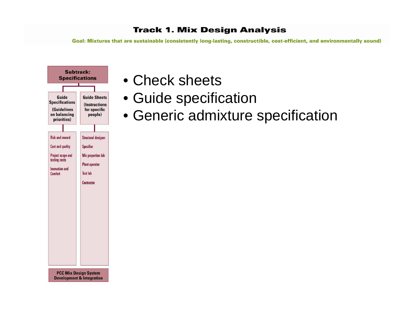

- Check sheets
- Guide specification
- Generic admixture specification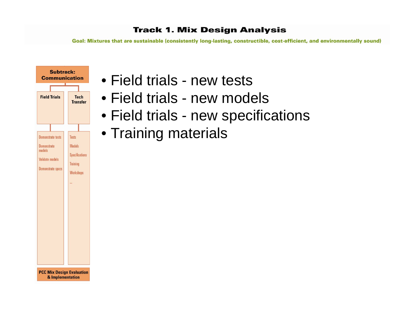Goal: Mixtures that are sustainable (consistently long-lasting, constructible, cost-efficient, and environmentally sound)



& Implementation

- Field trials new tests
- Field trials new models
- Field trials new specifications
- Training materials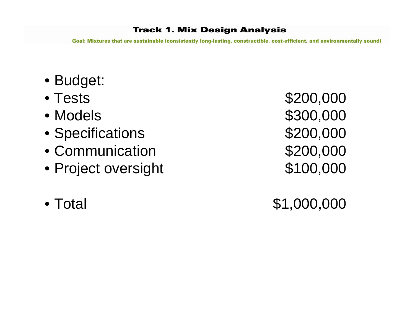Goal: Mixtures that are sustainable (consistently long-lasting, constructible, cost-efficient, and environmentally sound)

- Budget:
- Tests
- Models
- Specifications **\$200,000**
- Communication
- Project oversight \$100,000
- Total

 \$200,000 \$300,000 \$200,000

\$1,000,000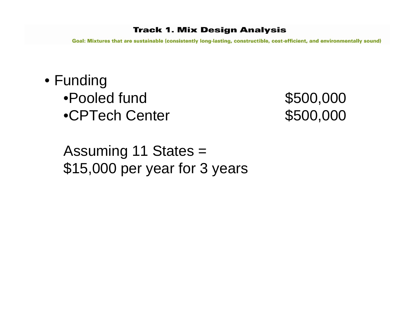Goal: Mixtures that are sustainable (consistently long-lasting, constructible, cost-efficient, and environmentally sound)

• Funding •Pooled fund•CPTech Center \$500,000

\$500,000

Assuming 11 States = \$15,000 per year for 3 years